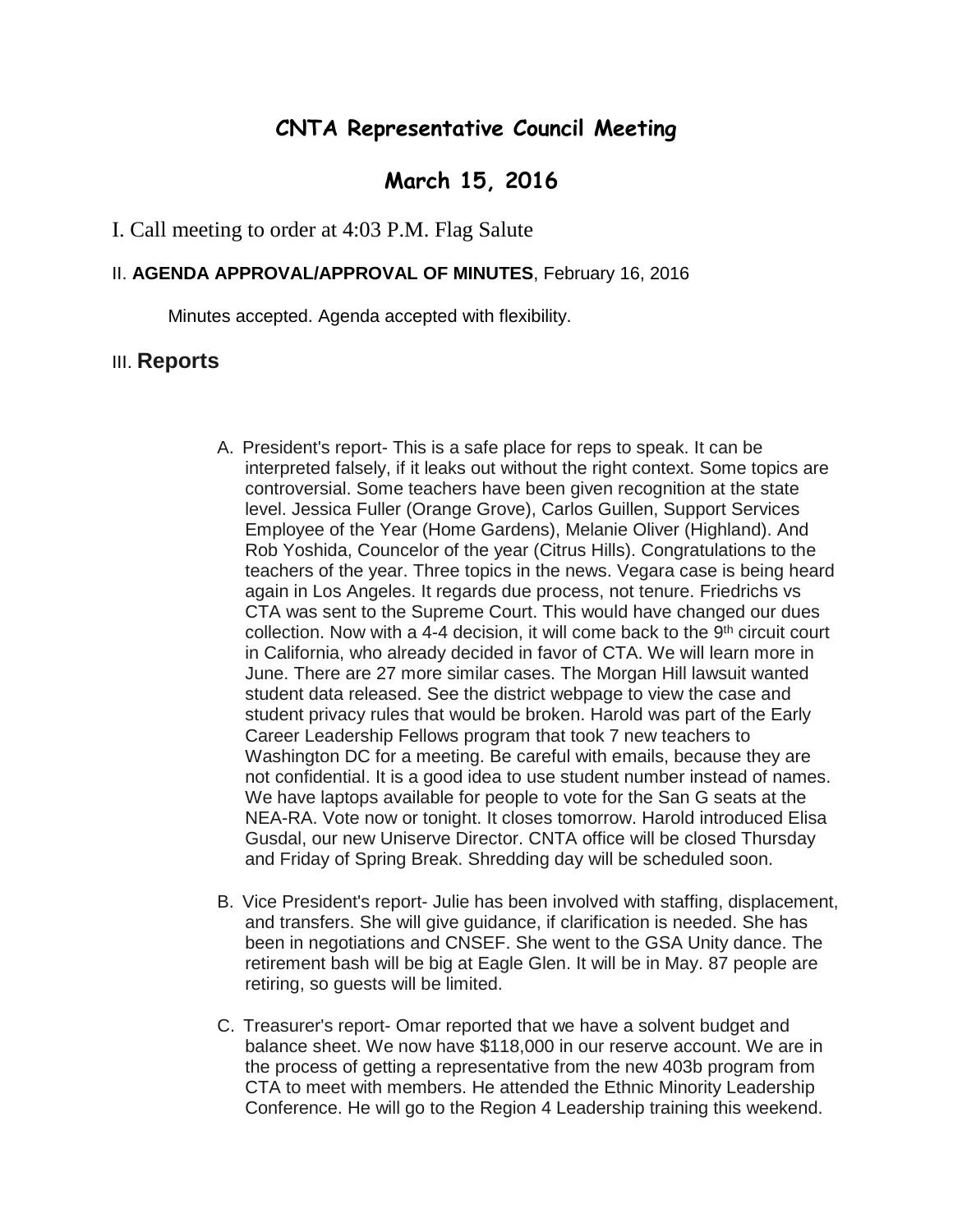# **CNTA Representative Council Meeting**

## **March 15, 2016**

### I. Call meeting to order at 4:03 P.M. Flag Salute

#### II. **AGENDA APPROVAL/APPROVAL OF MINUTES**, February 16, 2016

Minutes accepted. Agenda accepted with flexibility.

#### III. **Reports**

- A. President's report- This is a safe place for reps to speak. It can be interpreted falsely, if it leaks out without the right context. Some topics are controversial. Some teachers have been given recognition at the state level. Jessica Fuller (Orange Grove), Carlos Guillen, Support Services Employee of the Year (Home Gardens), Melanie Oliver (Highland). And Rob Yoshida, Councelor of the year (Citrus Hills). Congratulations to the teachers of the year. Three topics in the news. Vegara case is being heard again in Los Angeles. It regards due process, not tenure. Friedrichs vs CTA was sent to the Supreme Court. This would have changed our dues collection. Now with a 4-4 decision, it will come back to the  $9<sup>th</sup>$  circuit court in California, who already decided in favor of CTA. We will learn more in June. There are 27 more similar cases. The Morgan Hill lawsuit wanted student data released. See the district webpage to view the case and student privacy rules that would be broken. Harold was part of the Early Career Leadership Fellows program that took 7 new teachers to Washington DC for a meeting. Be careful with emails, because they are not confidential. It is a good idea to use student number instead of names. We have laptops available for people to vote for the San G seats at the NEA-RA. Vote now or tonight. It closes tomorrow. Harold introduced Elisa Gusdal, our new Uniserve Director. CNTA office will be closed Thursday and Friday of Spring Break. Shredding day will be scheduled soon.
- B. Vice President's report- Julie has been involved with staffing, displacement, and transfers. She will give guidance, if clarification is needed. She has been in negotiations and CNSEF. She went to the GSA Unity dance. The retirement bash will be big at Eagle Glen. It will be in May. 87 people are retiring, so guests will be limited.
- C. Treasurer's report- Omar reported that we have a solvent budget and balance sheet. We now have \$118,000 in our reserve account. We are in the process of getting a representative from the new 403b program from CTA to meet with members. He attended the Ethnic Minority Leadership Conference. He will go to the Region 4 Leadership training this weekend.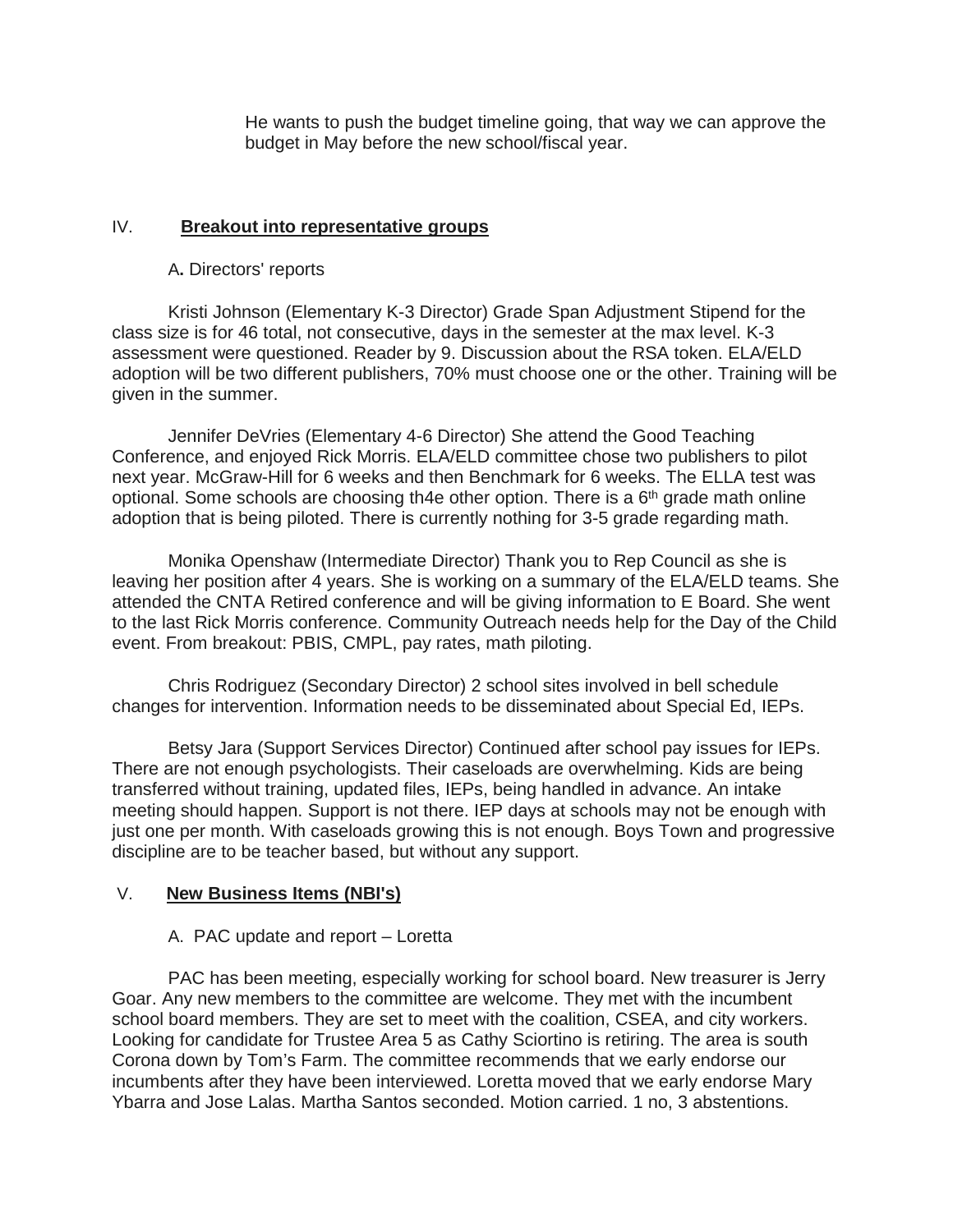He wants to push the budget timeline going, that way we can approve the budget in May before the new school/fiscal year.

#### IV. **Breakout into representative groups**

#### A**.** Directors' reports

Kristi Johnson (Elementary K-3 Director) Grade Span Adjustment Stipend for the class size is for 46 total, not consecutive, days in the semester at the max level. K-3 assessment were questioned. Reader by 9. Discussion about the RSA token. ELA/ELD adoption will be two different publishers, 70% must choose one or the other. Training will be given in the summer.

Jennifer DeVries (Elementary 4-6 Director) She attend the Good Teaching Conference, and enjoyed Rick Morris. ELA/ELD committee chose two publishers to pilot next year. McGraw-Hill for 6 weeks and then Benchmark for 6 weeks. The ELLA test was optional. Some schools are choosing th4e other option. There is a  $6<sup>th</sup>$  grade math online adoption that is being piloted. There is currently nothing for 3-5 grade regarding math.

Monika Openshaw (Intermediate Director) Thank you to Rep Council as she is leaving her position after 4 years. She is working on a summary of the ELA/ELD teams. She attended the CNTA Retired conference and will be giving information to E Board. She went to the last Rick Morris conference. Community Outreach needs help for the Day of the Child event. From breakout: PBIS, CMPL, pay rates, math piloting.

Chris Rodriguez (Secondary Director) 2 school sites involved in bell schedule changes for intervention. Information needs to be disseminated about Special Ed, IEPs.

Betsy Jara (Support Services Director) Continued after school pay issues for IEPs. There are not enough psychologists. Their caseloads are overwhelming. Kids are being transferred without training, updated files, IEPs, being handled in advance. An intake meeting should happen. Support is not there. IEP days at schools may not be enough with just one per month. With caseloads growing this is not enough. Boys Town and progressive discipline are to be teacher based, but without any support.

## V. **New Business Items (NBI's)**

## A. PAC update and report – Loretta

PAC has been meeting, especially working for school board. New treasurer is Jerry Goar. Any new members to the committee are welcome. They met with the incumbent school board members. They are set to meet with the coalition, CSEA, and city workers. Looking for candidate for Trustee Area 5 as Cathy Sciortino is retiring. The area is south Corona down by Tom's Farm. The committee recommends that we early endorse our incumbents after they have been interviewed. Loretta moved that we early endorse Mary Ybarra and Jose Lalas. Martha Santos seconded. Motion carried. 1 no, 3 abstentions.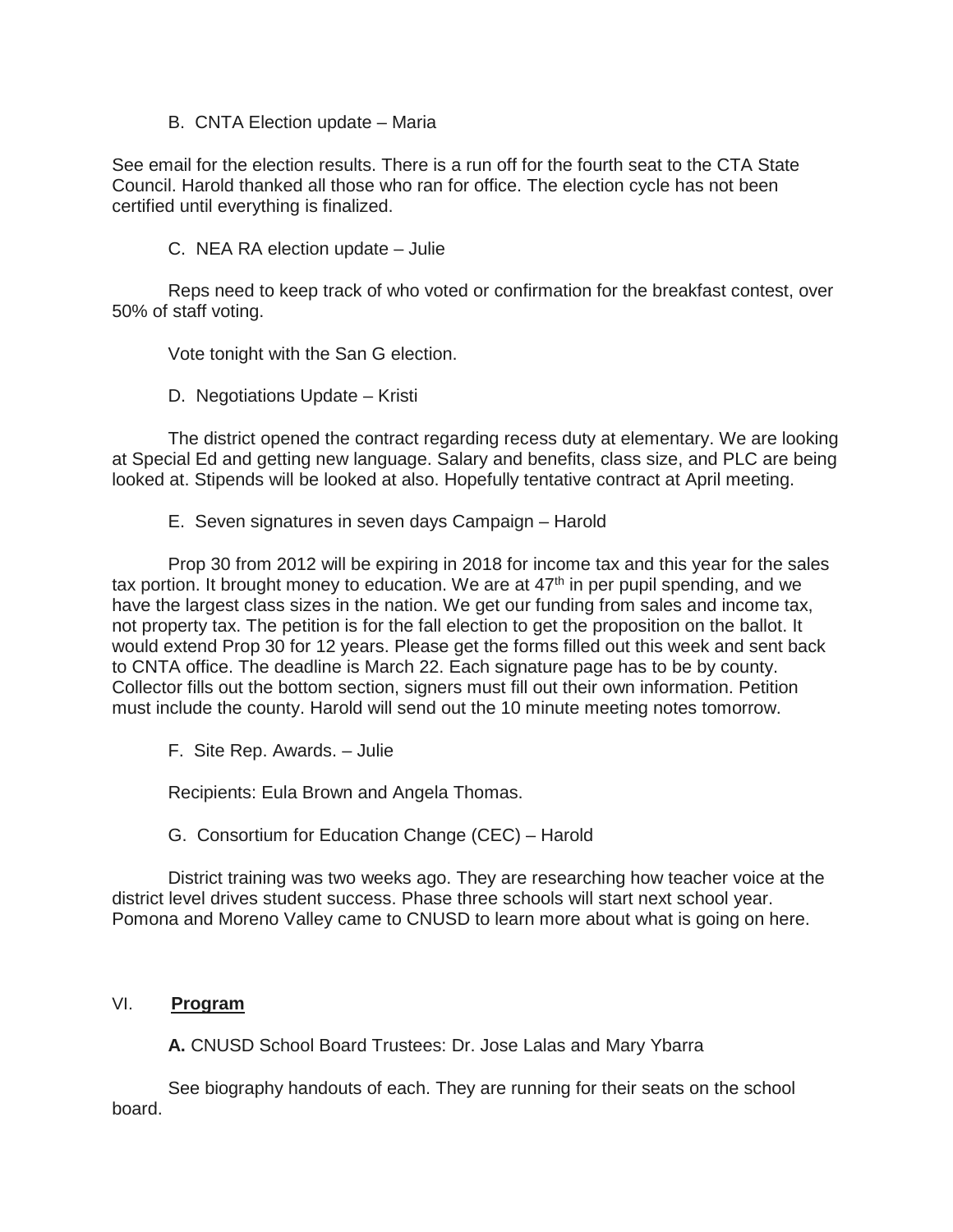#### B. CNTA Election update – Maria

See email for the election results. There is a run off for the fourth seat to the CTA State Council. Harold thanked all those who ran for office. The election cycle has not been certified until everything is finalized.

C. NEA RA election update – Julie

Reps need to keep track of who voted or confirmation for the breakfast contest, over 50% of staff voting.

Vote tonight with the San G election.

D. Negotiations Update – Kristi

The district opened the contract regarding recess duty at elementary. We are looking at Special Ed and getting new language. Salary and benefits, class size, and PLC are being looked at. Stipends will be looked at also. Hopefully tentative contract at April meeting.

E. Seven signatures in seven days Campaign – Harold

Prop 30 from 2012 will be expiring in 2018 for income tax and this year for the sales tax portion. It brought money to education. We are at  $47<sup>th</sup>$  in per pupil spending, and we have the largest class sizes in the nation. We get our funding from sales and income tax, not property tax. The petition is for the fall election to get the proposition on the ballot. It would extend Prop 30 for 12 years. Please get the forms filled out this week and sent back to CNTA office. The deadline is March 22. Each signature page has to be by county. Collector fills out the bottom section, signers must fill out their own information. Petition must include the county. Harold will send out the 10 minute meeting notes tomorrow.

F. Site Rep. Awards. – Julie

Recipients: Eula Brown and Angela Thomas.

G. Consortium for Education Change (CEC) – Harold

District training was two weeks ago. They are researching how teacher voice at the district level drives student success. Phase three schools will start next school year. Pomona and Moreno Valley came to CNUSD to learn more about what is going on here.

#### VI. **Program**

**A.** CNUSD School Board Trustees: Dr. Jose Lalas and Mary Ybarra

See biography handouts of each. They are running for their seats on the school board.